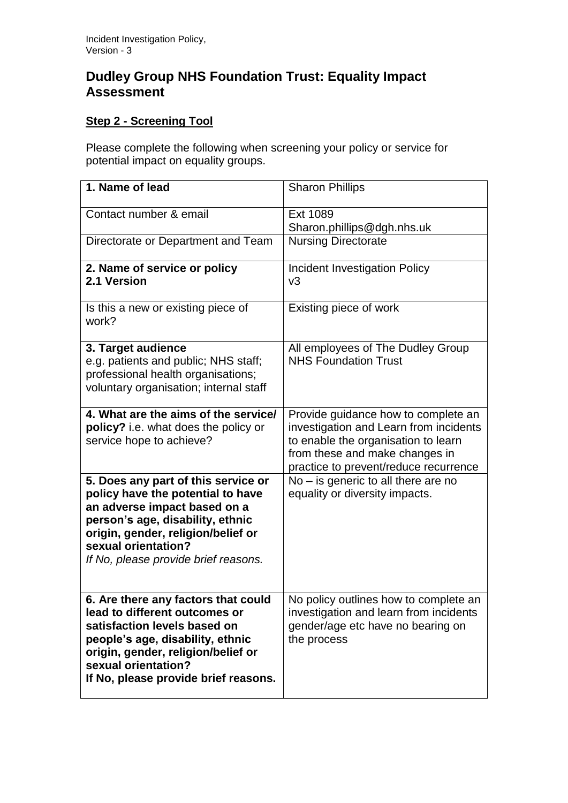## **Dudley Group NHS Foundation Trust: Equality Impact Assessment**

## **Step 2 - Screening Tool**

Please complete the following when screening your policy or service for potential impact on equality groups.

| 1. Name of lead                                                                                                                                                                                                                                   | <b>Sharon Phillips</b>                                                                                                                                                                          |
|---------------------------------------------------------------------------------------------------------------------------------------------------------------------------------------------------------------------------------------------------|-------------------------------------------------------------------------------------------------------------------------------------------------------------------------------------------------|
| Contact number & email                                                                                                                                                                                                                            | Ext 1089<br>Sharon.phillips@dgh.nhs.uk                                                                                                                                                          |
| Directorate or Department and Team                                                                                                                                                                                                                | <b>Nursing Directorate</b>                                                                                                                                                                      |
| 2. Name of service or policy<br>2.1 Version                                                                                                                                                                                                       | Incident Investigation Policy<br>v3                                                                                                                                                             |
| Is this a new or existing piece of<br>work?                                                                                                                                                                                                       | Existing piece of work                                                                                                                                                                          |
| 3. Target audience<br>e.g. patients and public; NHS staff;<br>professional health organisations;<br>voluntary organisation; internal staff                                                                                                        | All employees of The Dudley Group<br><b>NHS Foundation Trust</b>                                                                                                                                |
| 4. What are the aims of the service/<br>policy? i.e. what does the policy or<br>service hope to achieve?                                                                                                                                          | Provide guidance how to complete an<br>investigation and Learn from incidents<br>to enable the organisation to learn<br>from these and make changes in<br>practice to prevent/reduce recurrence |
| 5. Does any part of this service or<br>policy have the potential to have<br>an adverse impact based on a<br>person's age, disability, ethnic<br>origin, gender, religion/belief or<br>sexual orientation?<br>If No, please provide brief reasons. | $No - is generic to all there are no$<br>equality or diversity impacts.                                                                                                                         |
| 6. Are there any factors that could<br>lead to different outcomes or<br>satisfaction levels based on<br>people's age, disability, ethnic<br>origin, gender, religion/belief or<br>sexual orientation?<br>If No, please provide brief reasons.     | No policy outlines how to complete an<br>investigation and learn from incidents<br>gender/age etc have no bearing on<br>the process                                                             |